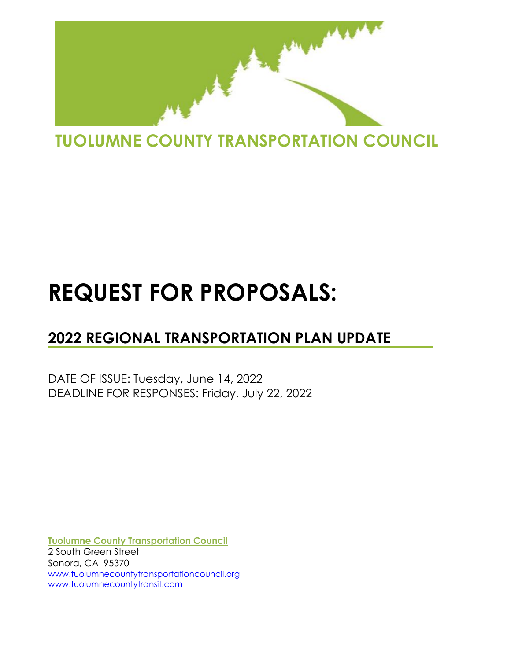

# **REQUEST FOR PROPOSALS:**

# **2022 REGIONAL TRANSPORTATION PLAN UPDATE**

DATE OF ISSUE: Tuesday, June 14, 2022 DEADLINE FOR RESPONSES: Friday, July 22, 2022

**Tuolumne County Transportation Council** 2 South Green Street Sonora, CA 95370 [www.tuolumnecountytransportationcouncil.org](http://www.tuolumnecountytransportationcouncil.org/) [www.tuolumnecountytransit.com](http://www.tuolumnecountytransit.com/)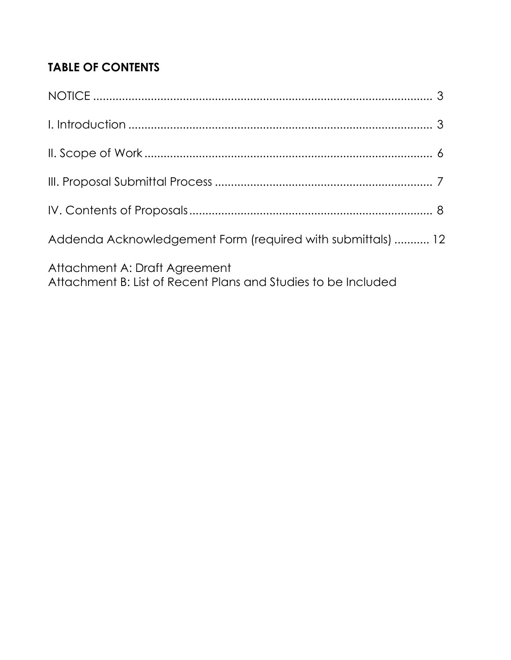# **TABLE OF CONTENTS**

| Addenda Acknowledgement Form (required with submittals)  12                                    |  |
|------------------------------------------------------------------------------------------------|--|
| Attachment A: Draft Agreement<br>Attachment B: List of Recent Plans and Studies to be Included |  |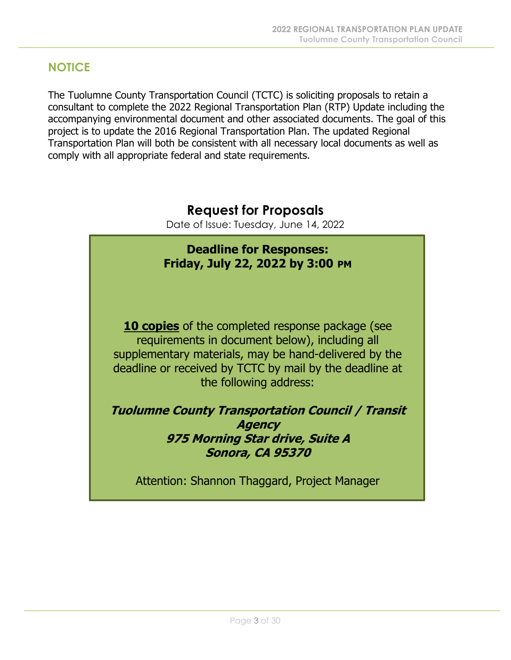### **NOTICE**

The Tuolumne County Transportation Council (TCTC) is soliciting proposals to retain a consultant to complete the 2022 Regional Transportation Plan (RTP) Update including the accompanying environmental document and other associated documents. The goal of this project is to update the 2016 Regional Transportation Plan. The updated Regional Transportation Plan will both be consistent with all necessary local documents as well as comply with all appropriate federal and state requirements.

# **Request for Proposals**

Date of Issue: Tuesday, June 14, 2022

# **Deadline for Responses: Friday, July 22, 2022 by 3:00 PM 10 copies** of the completed response package (see requirements in document below), including all supplementary materials, may be hand-delivered by the deadline or received by TCTC by mail by the deadline at the following address:

**Tuolumne County Transportation Council / Transit Agency 975 Morning Star drive, Suite A Sonora, CA 95370**

Attention: Shannon Thaggard, Project Manager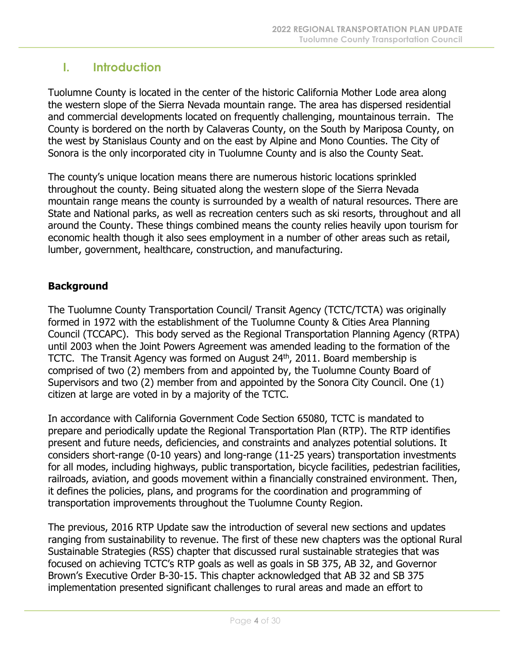# **I. Introduction**

Tuolumne County is located in the center of the historic California Mother Lode area along the western slope of the Sierra Nevada mountain range. The area has dispersed residential and commercial developments located on frequently challenging, mountainous terrain. The County is bordered on the north by Calaveras County, on the South by Mariposa County, on the west by Stanislaus County and on the east by Alpine and Mono Counties. The City of Sonora is the only incorporated city in Tuolumne County and is also the County Seat.

The county's unique location means there are numerous historic locations sprinkled throughout the county. Being situated along the western slope of the Sierra Nevada mountain range means the county is surrounded by a wealth of natural resources. There are State and National parks, as well as recreation centers such as ski resorts, throughout and all around the County. These things combined means the county relies heavily upon tourism for economic health though it also sees employment in a number of other areas such as retail, lumber, government, healthcare, construction, and manufacturing.

#### **Background**

The Tuolumne County Transportation Council/ Transit Agency (TCTC/TCTA) was originally formed in 1972 with the establishment of the Tuolumne County & Cities Area Planning Council (TCCAPC). This body served as the Regional Transportation Planning Agency (RTPA) until 2003 when the Joint Powers Agreement was amended leading to the formation of the TCTC. The Transit Agency was formed on August 24<sup>th</sup>, 2011. Board membership is comprised of two (2) members from and appointed by, the Tuolumne County Board of Supervisors and two (2) member from and appointed by the Sonora City Council. One (1) citizen at large are voted in by a majority of the TCTC.

In accordance with California Government Code Section 65080, TCTC is mandated to prepare and periodically update the Regional Transportation Plan (RTP). The RTP identifies present and future needs, deficiencies, and constraints and analyzes potential solutions. It considers short-range (0-10 years) and long-range (11-25 years) transportation investments for all modes, including highways, public transportation, bicycle facilities, pedestrian facilities, railroads, aviation, and goods movement within a financially constrained environment. Then, it defines the policies, plans, and programs for the coordination and programming of transportation improvements throughout the Tuolumne County Region.

The previous, 2016 RTP Update saw the introduction of several new sections and updates ranging from sustainability to revenue. The first of these new chapters was the optional Rural Sustainable Strategies (RSS) chapter that discussed rural sustainable strategies that was focused on achieving TCTC's RTP goals as well as goals in SB 375, AB 32, and Governor Brown's Executive Order B-30-15. This chapter acknowledged that AB 32 and SB 375 implementation presented significant challenges to rural areas and made an effort to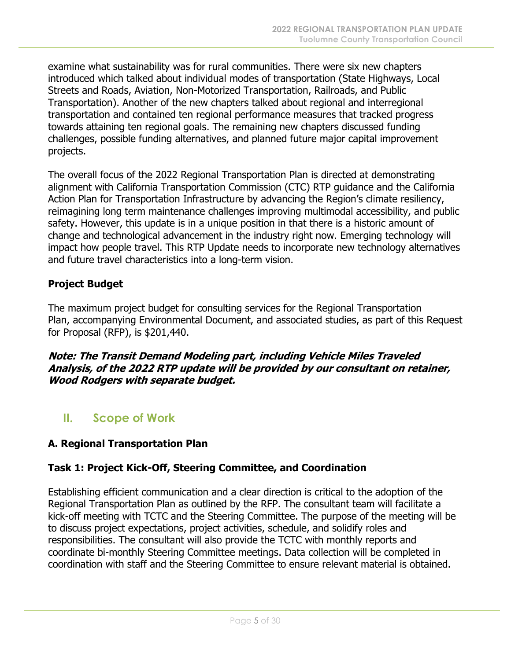examine what sustainability was for rural communities. There were six new chapters introduced which talked about individual modes of transportation (State Highways, Local Streets and Roads, Aviation, Non-Motorized Transportation, Railroads, and Public Transportation). Another of the new chapters talked about regional and interregional transportation and contained ten regional performance measures that tracked progress towards attaining ten regional goals. The remaining new chapters discussed funding challenges, possible funding alternatives, and planned future major capital improvement projects.

The overall focus of the 2022 Regional Transportation Plan is directed at demonstrating alignment with California Transportation Commission (CTC) RTP guidance and the California Action Plan for Transportation Infrastructure by advancing the Region's climate resiliency, reimagining long term maintenance challenges improving multimodal accessibility, and public safety. However, this update is in a unique position in that there is a historic amount of change and technological advancement in the industry right now. Emerging technology will impact how people travel. This RTP Update needs to incorporate new technology alternatives and future travel characteristics into a long-term vision.

#### **Project Budget**

The maximum project budget for consulting services for the Regional Transportation Plan, accompanying Environmental Document, and associated studies, as part of this Request for Proposal (RFP), is \$201,440.

**Note: The Transit Demand Modeling part, including Vehicle Miles Traveled Analysis, of the 2022 RTP update will be provided by our consultant on retainer, Wood Rodgers with separate budget.** 

# **II. Scope of Work**

#### **A. Regional Transportation Plan**

#### **Task 1: Project Kick-Off, Steering Committee, and Coordination**

Establishing efficient communication and a clear direction is critical to the adoption of the Regional Transportation Plan as outlined by the RFP. The consultant team will facilitate a kick-off meeting with TCTC and the Steering Committee. The purpose of the meeting will be to discuss project expectations, project activities, schedule, and solidify roles and responsibilities. The consultant will also provide the TCTC with monthly reports and coordinate bi-monthly Steering Committee meetings. Data collection will be completed in coordination with staff and the Steering Committee to ensure relevant material is obtained.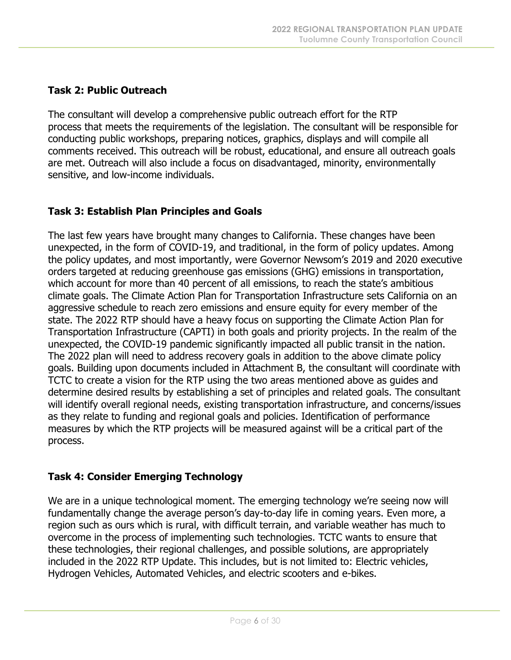#### **Task 2: Public Outreach**

The consultant will develop a comprehensive public outreach effort for the RTP process that meets the requirements of the legislation. The consultant will be responsible for conducting public workshops, preparing notices, graphics, displays and will compile all comments received. This outreach will be robust, educational, and ensure all outreach goals are met. Outreach will also include a focus on disadvantaged, minority, environmentally sensitive, and low-income individuals.

#### **Task 3: Establish Plan Principles and Goals**

The last few years have brought many changes to California. These changes have been unexpected, in the form of COVID-19, and traditional, in the form of policy updates. Among the policy updates, and most importantly, were Governor Newsom's 2019 and 2020 executive orders targeted at reducing greenhouse gas emissions (GHG) emissions in transportation, which account for more than 40 percent of all emissions, to reach the state's ambitious climate goals. The Climate Action Plan for Transportation Infrastructure sets California on an aggressive schedule to reach zero emissions and ensure equity for every member of the state. The 2022 RTP should have a heavy focus on supporting the Climate Action Plan for Transportation Infrastructure (CAPTI) in both goals and priority projects. In the realm of the unexpected, the COVID-19 pandemic significantly impacted all public transit in the nation. The 2022 plan will need to address recovery goals in addition to the above climate policy goals. Building upon documents included in Attachment B, the consultant will coordinate with TCTC to create a vision for the RTP using the two areas mentioned above as guides and determine desired results by establishing a set of principles and related goals. The consultant will identify overall regional needs, existing transportation infrastructure, and concerns/issues as they relate to funding and regional goals and policies. Identification of performance measures by which the RTP projects will be measured against will be a critical part of the process.

#### **Task 4: Consider Emerging Technology**

We are in a unique technological moment. The emerging technology we're seeing now will fundamentally change the average person's day-to-day life in coming years. Even more, a region such as ours which is rural, with difficult terrain, and variable weather has much to overcome in the process of implementing such technologies. TCTC wants to ensure that these technologies, their regional challenges, and possible solutions, are appropriately included in the 2022 RTP Update. This includes, but is not limited to: Electric vehicles, Hydrogen Vehicles, Automated Vehicles, and electric scooters and e-bikes.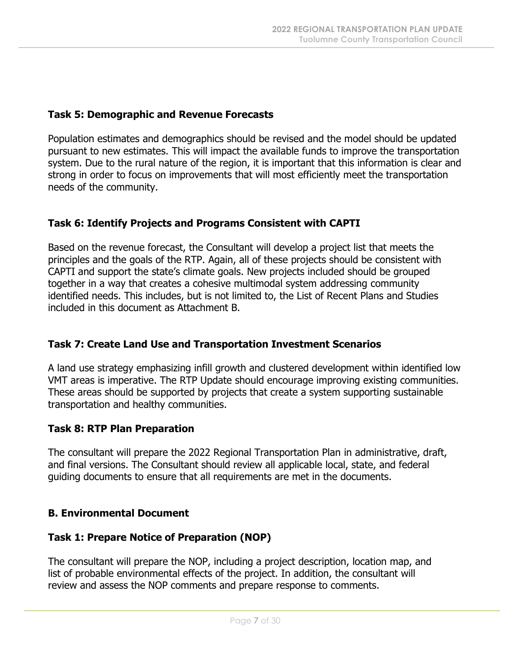#### **Task 5: Demographic and Revenue Forecasts**

Population estimates and demographics should be revised and the model should be updated pursuant to new estimates. This will impact the available funds to improve the transportation system. Due to the rural nature of the region, it is important that this information is clear and strong in order to focus on improvements that will most efficiently meet the transportation needs of the community.

#### **Task 6: Identify Projects and Programs Consistent with CAPTI**

Based on the revenue forecast, the Consultant will develop a project list that meets the principles and the goals of the RTP. Again, all of these projects should be consistent with CAPTI and support the state's climate goals. New projects included should be grouped together in a way that creates a cohesive multimodal system addressing community identified needs. This includes, but is not limited to, the List of Recent Plans and Studies included in this document as Attachment B.

#### **Task 7: Create Land Use and Transportation Investment Scenarios**

A land use strategy emphasizing infill growth and clustered development within identified low VMT areas is imperative. The RTP Update should encourage improving existing communities. These areas should be supported by projects that create a system supporting sustainable transportation and healthy communities.

#### **Task 8: RTP Plan Preparation**

The consultant will prepare the 2022 Regional Transportation Plan in administrative, draft, and final versions. The Consultant should review all applicable local, state, and federal guiding documents to ensure that all requirements are met in the documents.

#### **B. Environmental Document**

#### **Task 1: Prepare Notice of Preparation (NOP)**

The consultant will prepare the NOP, including a project description, location map, and list of probable environmental effects of the project. In addition, the consultant will review and assess the NOP comments and prepare response to comments.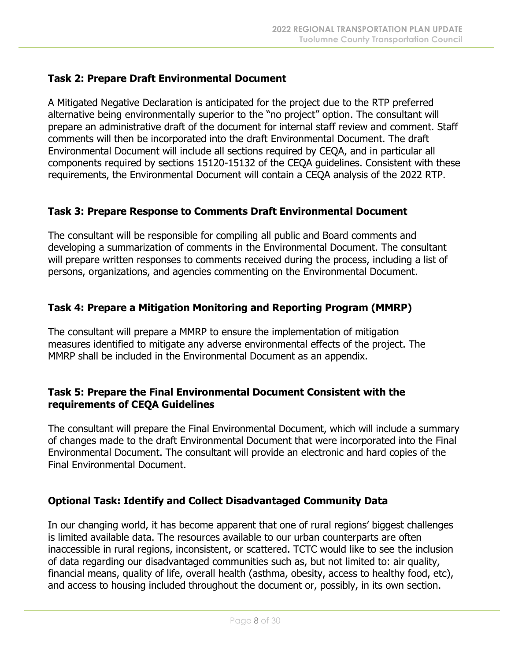#### **Task 2: Prepare Draft Environmental Document**

A Mitigated Negative Declaration is anticipated for the project due to the RTP preferred alternative being environmentally superior to the "no project" option. The consultant will prepare an administrative draft of the document for internal staff review and comment. Staff comments will then be incorporated into the draft Environmental Document. The draft Environmental Document will include all sections required by CEQA, and in particular all components required by sections 15120-15132 of the CEQA guidelines. Consistent with these requirements, the Environmental Document will contain a CEQA analysis of the 2022 RTP.

#### **Task 3: Prepare Response to Comments Draft Environmental Document**

The consultant will be responsible for compiling all public and Board comments and developing a summarization of comments in the Environmental Document. The consultant will prepare written responses to comments received during the process, including a list of persons, organizations, and agencies commenting on the Environmental Document.

#### **Task 4: Prepare a Mitigation Monitoring and Reporting Program (MMRP)**

The consultant will prepare a MMRP to ensure the implementation of mitigation measures identified to mitigate any adverse environmental effects of the project. The MMRP shall be included in the Environmental Document as an appendix.

#### **Task 5: Prepare the Final Environmental Document Consistent with the requirements of CEQA Guidelines**

The consultant will prepare the Final Environmental Document, which will include a summary of changes made to the draft Environmental Document that were incorporated into the Final Environmental Document. The consultant will provide an electronic and hard copies of the Final Environmental Document.

#### **Optional Task: Identify and Collect Disadvantaged Community Data**

In our changing world, it has become apparent that one of rural regions' biggest challenges is limited available data. The resources available to our urban counterparts are often inaccessible in rural regions, inconsistent, or scattered. TCTC would like to see the inclusion of data regarding our disadvantaged communities such as, but not limited to: air quality, financial means, quality of life, overall health (asthma, obesity, access to healthy food, etc), and access to housing included throughout the document or, possibly, in its own section.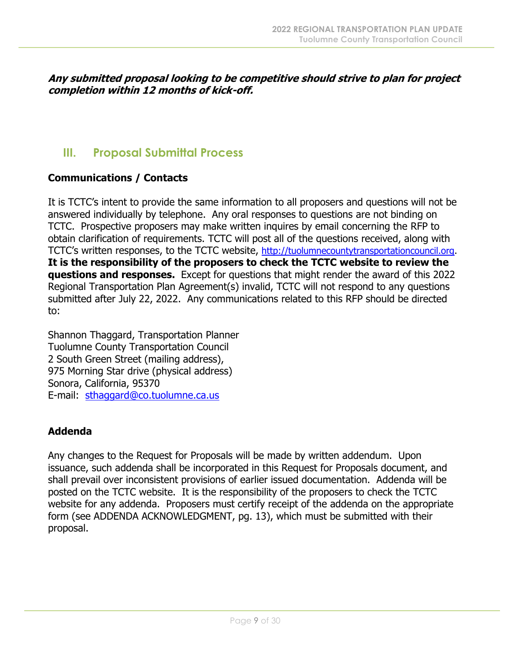**Any submitted proposal looking to be competitive should strive to plan for project completion within 12 months of kick-off.**

### **III. Proposal Submittal Process**

#### **Communications / Contacts**

It is TCTC's intent to provide the same information to all proposers and questions will not be answered individually by telephone. Any oral responses to questions are not binding on TCTC. Prospective proposers may make written inquires by email concerning the RFP to obtain clarification of requirements. TCTC will post all of the questions received, along with TCTC's written responses, to the TCTC website, [http://tuolumnecountytransportationcouncil.org.](http://tuolumnecountytransportationcouncil.org/) **It is the responsibility of the proposers to check the TCTC website to review the questions and responses.** Except for questions that might render the award of this 2022 Regional Transportation Plan Agreement(s) invalid, TCTC will not respond to any questions submitted after July 22, 2022. Any communications related to this RFP should be directed to:

Shannon Thaggard, Transportation Planner Tuolumne County Transportation Council 2 South Green Street (mailing address), 975 Morning Star drive (physical address) Sonora, California, 95370 E-mail: [sthaggard@co.tuolumne.ca.us](mailto:sthaggard@co.tuolumne.ca.us)

#### **Addenda**

Any changes to the Request for Proposals will be made by written addendum. Upon issuance, such addenda shall be incorporated in this Request for Proposals document, and shall prevail over inconsistent provisions of earlier issued documentation. Addenda will be posted on the TCTC website. It is the responsibility of the proposers to check the TCTC website for any addenda. Proposers must certify receipt of the addenda on the appropriate form (see ADDENDA ACKNOWLEDGMENT, pg. 13), which must be submitted with their proposal.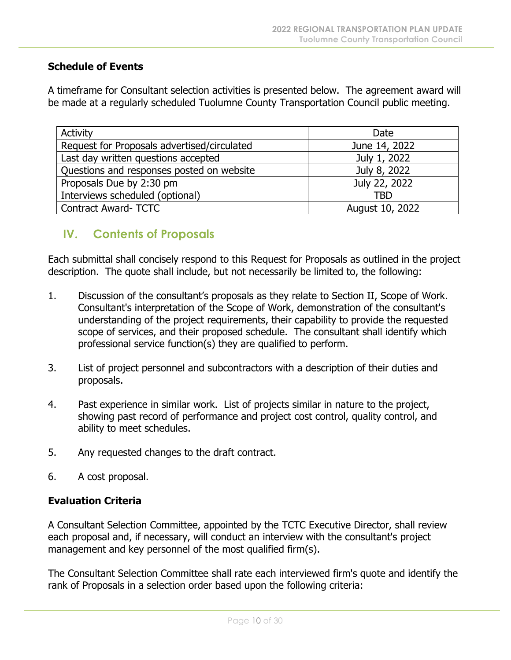#### **Schedule of Events**

A timeframe for Consultant selection activities is presented below. The agreement award will be made at a regularly scheduled Tuolumne County Transportation Council public meeting.

| <b>Activity</b>                             | Date            |
|---------------------------------------------|-----------------|
| Request for Proposals advertised/circulated | June 14, 2022   |
| Last day written questions accepted         | July 1, 2022    |
| Questions and responses posted on website   | July 8, 2022    |
| Proposals Due by 2:30 pm                    | July 22, 2022   |
| Interviews scheduled (optional)             | <b>TBD</b>      |
| <b>Contract Award- TCTC</b>                 | August 10, 2022 |

#### **IV. Contents of Proposals**

Each submittal shall concisely respond to this Request for Proposals as outlined in the project description. The quote shall include, but not necessarily be limited to, the following:

- 1. Discussion of the consultant's proposals as they relate to Section II, Scope of Work. Consultant's interpretation of the Scope of Work, demonstration of the consultant's understanding of the project requirements, their capability to provide the requested scope of services, and their proposed schedule. The consultant shall identify which professional service function(s) they are qualified to perform.
- 3. List of project personnel and subcontractors with a description of their duties and proposals.
- 4. Past experience in similar work. List of projects similar in nature to the project, showing past record of performance and project cost control, quality control, and ability to meet schedules.
- 5. Any requested changes to the draft contract.
- 6. A cost proposal.

#### **Evaluation Criteria**

A Consultant Selection Committee, appointed by the TCTC Executive Director, shall review each proposal and, if necessary, will conduct an interview with the consultant's project management and key personnel of the most qualified firm(s).

The Consultant Selection Committee shall rate each interviewed firm's quote and identify the rank of Proposals in a selection order based upon the following criteria: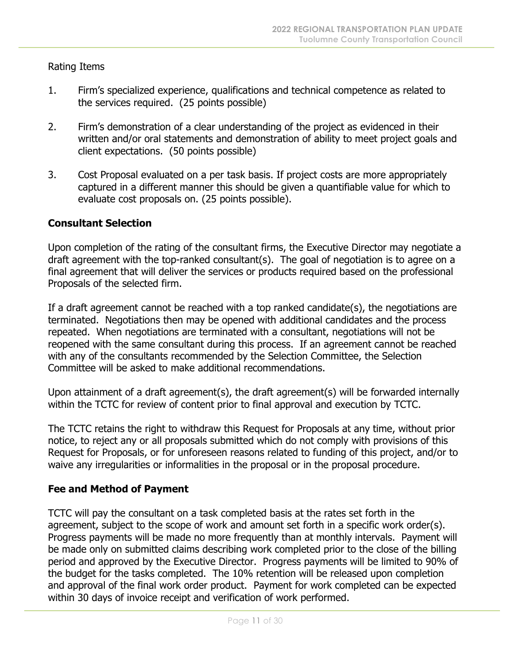Rating Items

- 1. Firm's specialized experience, qualifications and technical competence as related to the services required. (25 points possible)
- 2. Firm's demonstration of a clear understanding of the project as evidenced in their written and/or oral statements and demonstration of ability to meet project goals and client expectations. (50 points possible)
- 3. Cost Proposal evaluated on a per task basis. If project costs are more appropriately captured in a different manner this should be given a quantifiable value for which to evaluate cost proposals on. (25 points possible).

#### **Consultant Selection**

Upon completion of the rating of the consultant firms, the Executive Director may negotiate a draft agreement with the top-ranked consultant(s). The goal of negotiation is to agree on a final agreement that will deliver the services or products required based on the professional Proposals of the selected firm.

If a draft agreement cannot be reached with a top ranked candidate(s), the negotiations are terminated. Negotiations then may be opened with additional candidates and the process repeated. When negotiations are terminated with a consultant, negotiations will not be reopened with the same consultant during this process. If an agreement cannot be reached with any of the consultants recommended by the Selection Committee, the Selection Committee will be asked to make additional recommendations.

Upon attainment of a draft agreement(s), the draft agreement(s) will be forwarded internally within the TCTC for review of content prior to final approval and execution by TCTC.

The TCTC retains the right to withdraw this Request for Proposals at any time, without prior notice, to reject any or all proposals submitted which do not comply with provisions of this Request for Proposals, or for unforeseen reasons related to funding of this project, and/or to waive any irregularities or informalities in the proposal or in the proposal procedure.

#### **Fee and Method of Payment**

TCTC will pay the consultant on a task completed basis at the rates set forth in the agreement, subject to the scope of work and amount set forth in a specific work order(s). Progress payments will be made no more frequently than at monthly intervals. Payment will be made only on submitted claims describing work completed prior to the close of the billing period and approved by the Executive Director. Progress payments will be limited to 90% of the budget for the tasks completed. The 10% retention will be released upon completion and approval of the final work order product. Payment for work completed can be expected within 30 days of invoice receipt and verification of work performed.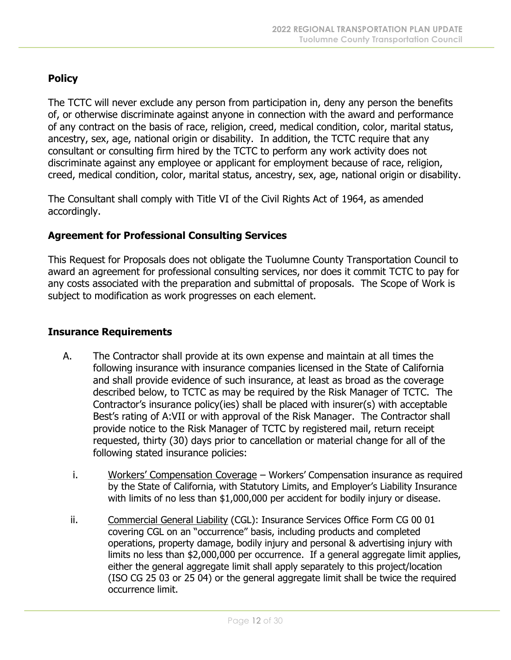#### **Policy**

The TCTC will never exclude any person from participation in, deny any person the benefits of, or otherwise discriminate against anyone in connection with the award and performance of any contract on the basis of race, religion, creed, medical condition, color, marital status, ancestry, sex, age, national origin or disability. In addition, the TCTC require that any consultant or consulting firm hired by the TCTC to perform any work activity does not discriminate against any employee or applicant for employment because of race, religion, creed, medical condition, color, marital status, ancestry, sex, age, national origin or disability.

The Consultant shall comply with Title VI of the Civil Rights Act of 1964, as amended accordingly.

#### **Agreement for Professional Consulting Services**

This Request for Proposals does not obligate the Tuolumne County Transportation Council to award an agreement for professional consulting services, nor does it commit TCTC to pay for any costs associated with the preparation and submittal of proposals. The Scope of Work is subject to modification as work progresses on each element.

#### **Insurance Requirements**

- A. The Contractor shall provide at its own expense and maintain at all times the following insurance with insurance companies licensed in the State of California and shall provide evidence of such insurance, at least as broad as the coverage described below, to TCTC as may be required by the Risk Manager of TCTC. The Contractor's insurance policy(ies) shall be placed with insurer(s) with acceptable Best's rating of A:VII or with approval of the Risk Manager. The Contractor shall provide notice to the Risk Manager of TCTC by registered mail, return receipt requested, thirty (30) days prior to cancellation or material change for all of the following stated insurance policies:
	- i. Workers' Compensation Coverage Workers' Compensation insurance as required by the State of California, with Statutory Limits, and Employer's Liability Insurance with limits of no less than \$1,000,000 per accident for bodily injury or disease.
	- ii. Commercial General Liability (CGL): Insurance Services Office Form CG 00 01 covering CGL on an "occurrence" basis, including products and completed operations, property damage, bodily injury and personal & advertising injury with limits no less than \$2,000,000 per occurrence. If a general aggregate limit applies, either the general aggregate limit shall apply separately to this project/location (ISO CG 25 03 or 25 04) or the general aggregate limit shall be twice the required occurrence limit.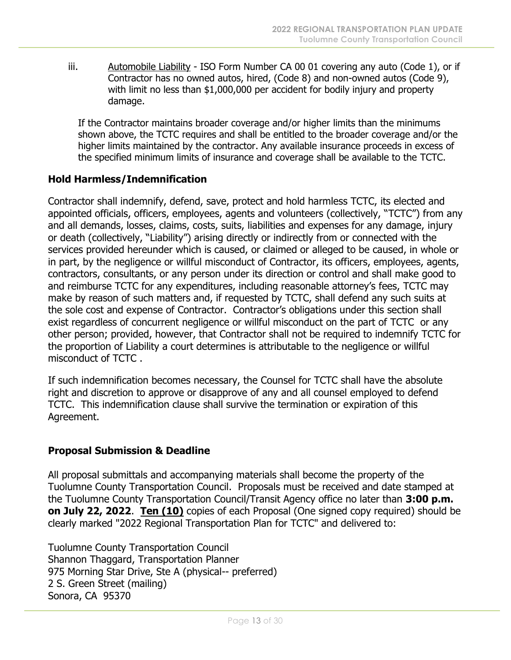iii. Automobile Liability - ISO Form Number CA 00 01 covering any auto (Code 1), or if Contractor has no owned autos, hired, (Code 8) and non-owned autos (Code 9), with limit no less than \$1,000,000 per accident for bodily injury and property damage.

If the Contractor maintains broader coverage and/or higher limits than the minimums shown above, the TCTC requires and shall be entitled to the broader coverage and/or the higher limits maintained by the contractor. Any available insurance proceeds in excess of the specified minimum limits of insurance and coverage shall be available to the TCTC.

#### **Hold Harmless/Indemnification**

Contractor shall indemnify, defend, save, protect and hold harmless TCTC, its elected and appointed officials, officers, employees, agents and volunteers (collectively, "TCTC") from any and all demands, losses, claims, costs, suits, liabilities and expenses for any damage, injury or death (collectively, "Liability") arising directly or indirectly from or connected with the services provided hereunder which is caused, or claimed or alleged to be caused, in whole or in part, by the negligence or willful misconduct of Contractor, its officers, employees, agents, contractors, consultants, or any person under its direction or control and shall make good to and reimburse TCTC for any expenditures, including reasonable attorney's fees, TCTC may make by reason of such matters and, if requested by TCTC, shall defend any such suits at the sole cost and expense of Contractor. Contractor's obligations under this section shall exist regardless of concurrent negligence or willful misconduct on the part of TCTC or any other person; provided, however, that Contractor shall not be required to indemnify TCTC for the proportion of Liability a court determines is attributable to the negligence or willful misconduct of TCTC .

If such indemnification becomes necessary, the Counsel for TCTC shall have the absolute right and discretion to approve or disapprove of any and all counsel employed to defend TCTC. This indemnification clause shall survive the termination or expiration of this Agreement.

#### **Proposal Submission & Deadline**

All proposal submittals and accompanying materials shall become the property of the Tuolumne County Transportation Council. Proposals must be received and date stamped at the Tuolumne County Transportation Council/Transit Agency office no later than **3:00 p.m. on July 22, 2022**. **Ten (10)** copies of each Proposal (One signed copy required) should be clearly marked "2022 Regional Transportation Plan for TCTC" and delivered to:

Tuolumne County Transportation Council Shannon Thaggard, Transportation Planner 975 Morning Star Drive, Ste A (physical-- preferred) 2 S. Green Street (mailing) Sonora, CA 95370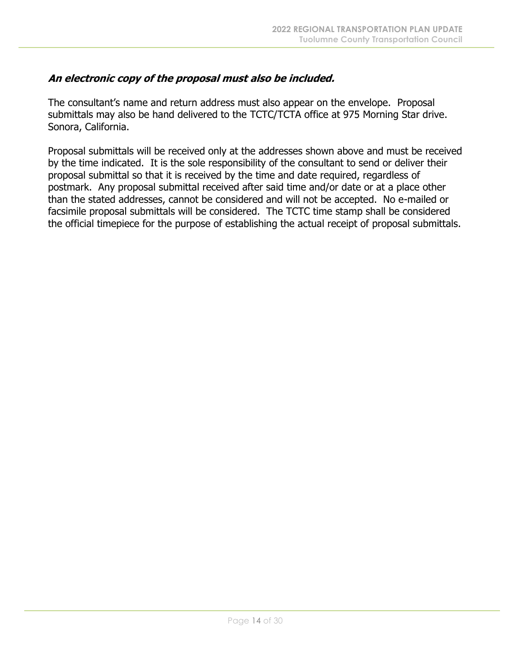#### **An electronic copy of the proposal must also be included.**

The consultant's name and return address must also appear on the envelope. Proposal submittals may also be hand delivered to the TCTC/TCTA office at 975 Morning Star drive. Sonora, California.

Proposal submittals will be received only at the addresses shown above and must be received by the time indicated. It is the sole responsibility of the consultant to send or deliver their proposal submittal so that it is received by the time and date required, regardless of postmark. Any proposal submittal received after said time and/or date or at a place other than the stated addresses, cannot be considered and will not be accepted. No e-mailed or facsimile proposal submittals will be considered. The TCTC time stamp shall be considered the official timepiece for the purpose of establishing the actual receipt of proposal submittals.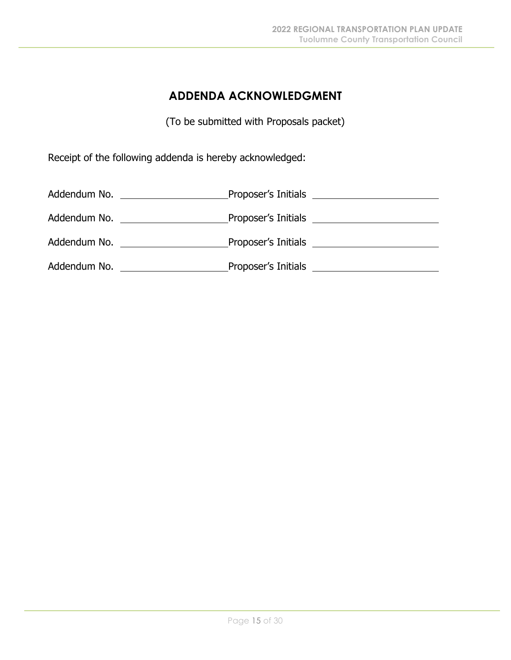## **ADDENDA ACKNOWLEDGMENT**

(To be submitted with Proposals packet)

Receipt of the following addenda is hereby acknowledged:

| Addendum No. | Proposer's Initials<br><u> 1980 - Jan Samuel Barbara, politik a politik (</u> |                                         |
|--------------|-------------------------------------------------------------------------------|-----------------------------------------|
|              |                                                                               |                                         |
|              | Addendum No. __________________                                               | Proposer's Initials <b>Example 2018</b> |
| Addendum No. | Proposer's Initials                                                           |                                         |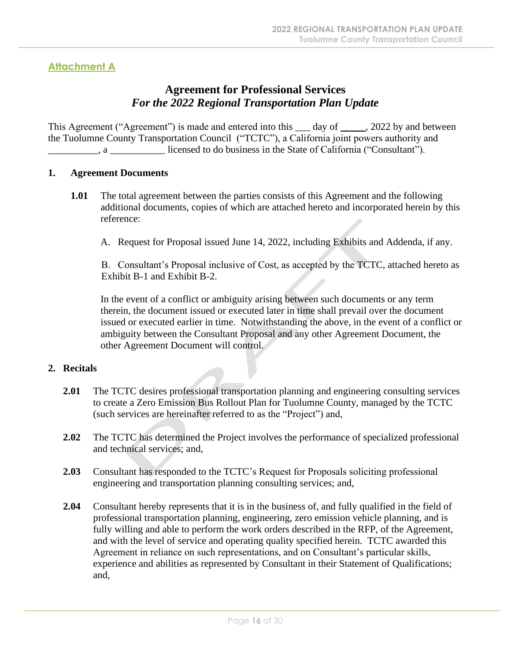#### **Attachment A**

#### **Agreement for Professional Services** *For the 2022 Regional Transportation Plan Update*

This Agreement ("Agreement") is made and entered into this \_\_\_ day of \_\_\_\_\_, 2022 by and between the Tuolumne County Transportation Council ("TCTC"), a California joint powers authority and \_\_\_\_\_\_\_\_\_\_, a \_\_\_\_\_\_\_\_\_\_\_ licensed to do business in the State of California ("Consultant").

#### **1. Agreement Documents**

- **1.01** The total agreement between the parties consists of this Agreement and the following additional documents, copies of which are attached hereto and incorporated herein by this reference:
	- A. Request for Proposal issued June 14, 2022, including Exhibits and Addenda, if any.

B. Consultant's Proposal inclusive of Cost, as accepted by the TCTC, attached hereto as Exhibit B-1 and Exhibit B-2.

In the event of a conflict or ambiguity arising between such documents or any term therein, the document issued or executed later in time shall prevail over the document issued or executed earlier in time. Notwithstanding the above, in the event of a conflict or ambiguity between the Consultant Proposal and any other Agreement Document, the other Agreement Document will control.

#### **2. Recitals**

- **2.01** The TCTC desires professional transportation planning and engineering consulting services to create a Zero Emission Bus Rollout Plan for Tuolumne County, managed by the TCTC (such services are hereinafter referred to as the "Project") and,
- **2.02** The TCTC has determined the Project involves the performance of specialized professional and technical services; and,
- **2.03** Consultant has responded to the TCTC's Request for Proposals soliciting professional engineering and transportation planning consulting services; and,
- **2.04** Consultant hereby represents that it is in the business of, and fully qualified in the field of professional transportation planning, engineering, zero emission vehicle planning, and is fully willing and able to perform the work orders described in the RFP, of the Agreement, and with the level of service and operating quality specified herein. TCTC awarded this Agreement in reliance on such representations, and on Consultant's particular skills, experience and abilities as represented by Consultant in their Statement of Qualifications; and,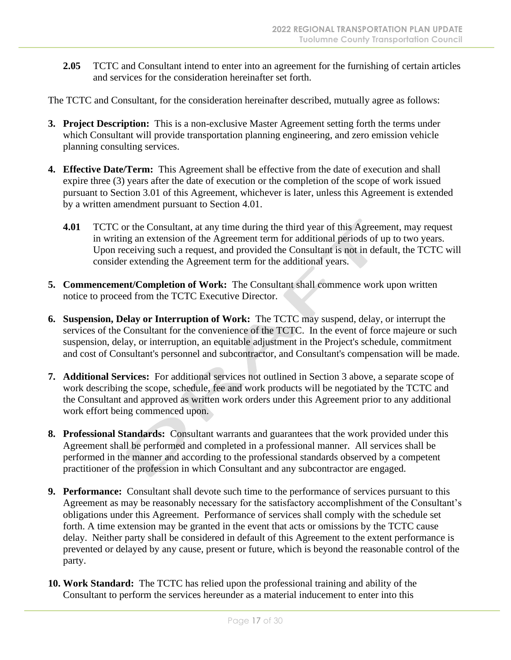**2.05** TCTC and Consultant intend to enter into an agreement for the furnishing of certain articles and services for the consideration hereinafter set forth.

The TCTC and Consultant, for the consideration hereinafter described, mutually agree as follows:

- **3. Project Description:** This is a non-exclusive Master Agreement setting forth the terms under which Consultant will provide transportation planning engineering, and zero emission vehicle planning consulting services.
- **4. Effective Date/Term:** This Agreement shall be effective from the date of execution and shall expire three (3) years after the date of execution or the completion of the scope of work issued pursuant to Section 3.01 of this Agreement, whichever is later, unless this Agreement is extended by a written amendment pursuant to Section 4.01.
	- **4.01** TCTC or the Consultant, at any time during the third year of this Agreement, may request in writing an extension of the Agreement term for additional periods of up to two years. Upon receiving such a request, and provided the Consultant is not in default, the TCTC will consider extending the Agreement term for the additional years.
- **5. Commencement/Completion of Work:** The Consultant shall commence work upon written notice to proceed from the TCTC Executive Director.
- **6. Suspension, Delay or Interruption of Work:** The TCTC may suspend, delay, or interrupt the services of the Consultant for the convenience of the TCTC. In the event of force majeure or such suspension, delay, or interruption, an equitable adjustment in the Project's schedule, commitment and cost of Consultant's personnel and subcontractor, and Consultant's compensation will be made.
- **7. Additional Services:** For additional services not outlined in Section 3 above, a separate scope of work describing the scope, schedule, fee and work products will be negotiated by the TCTC and the Consultant and approved as written work orders under this Agreement prior to any additional work effort being commenced upon.
- **8. Professional Standards:** Consultant warrants and guarantees that the work provided under this Agreement shall be performed and completed in a professional manner. All services shall be performed in the manner and according to the professional standards observed by a competent practitioner of the profession in which Consultant and any subcontractor are engaged.
- **9. Performance:** Consultant shall devote such time to the performance of services pursuant to this Agreement as may be reasonably necessary for the satisfactory accomplishment of the Consultant's obligations under this Agreement. Performance of services shall comply with the schedule set forth. A time extension may be granted in the event that acts or omissions by the TCTC cause delay. Neither party shall be considered in default of this Agreement to the extent performance is prevented or delayed by any cause, present or future, which is beyond the reasonable control of the party.
- **10. Work Standard:** The TCTC has relied upon the professional training and ability of the Consultant to perform the services hereunder as a material inducement to enter into this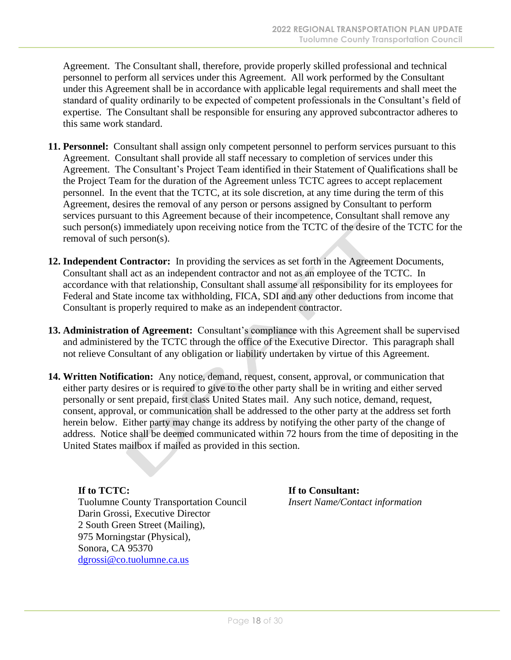Agreement. The Consultant shall, therefore, provide properly skilled professional and technical personnel to perform all services under this Agreement. All work performed by the Consultant under this Agreement shall be in accordance with applicable legal requirements and shall meet the standard of quality ordinarily to be expected of competent professionals in the Consultant's field of expertise. The Consultant shall be responsible for ensuring any approved subcontractor adheres to this same work standard.

- **11. Personnel:** Consultant shall assign only competent personnel to perform services pursuant to this Agreement. Consultant shall provide all staff necessary to completion of services under this Agreement. The Consultant's Project Team identified in their Statement of Qualifications shall be the Project Team for the duration of the Agreement unless TCTC agrees to accept replacement personnel. In the event that the TCTC, at its sole discretion, at any time during the term of this Agreement, desires the removal of any person or persons assigned by Consultant to perform services pursuant to this Agreement because of their incompetence, Consultant shall remove any such person(s) immediately upon receiving notice from the TCTC of the desire of the TCTC for the removal of such person(s).
- **12. Independent Contractor:** In providing the services as set forth in the Agreement Documents, Consultant shall act as an independent contractor and not as an employee of the TCTC. In accordance with that relationship, Consultant shall assume all responsibility for its employees for Federal and State income tax withholding, FICA, SDI and any other deductions from income that Consultant is properly required to make as an independent contractor.
- **13. Administration of Agreement:** Consultant's compliance with this Agreement shall be supervised and administered by the TCTC through the office of the Executive Director. This paragraph shall not relieve Consultant of any obligation or liability undertaken by virtue of this Agreement.
- **14. Written Notification:** Any notice, demand, request, consent, approval, or communication that either party desires or is required to give to the other party shall be in writing and either served personally or sent prepaid, first class United States mail. Any such notice, demand, request, consent, approval, or communication shall be addressed to the other party at the address set forth herein below. Either party may change its address by notifying the other party of the change of address. Notice shall be deemed communicated within 72 hours from the time of depositing in the United States mailbox if mailed as provided in this section.

**If to TCTC: If to Consultant:** Tuolumne County Transportation Council *Insert Name/Contact information* Darin Grossi, Executive Director 2 South Green Street (Mailing), 975 Morningstar (Physical), Sonora, CA 95370 [dgrossi@co.tuolumne.ca.us](mailto:dgrossi@co.tuolumne.ca.us)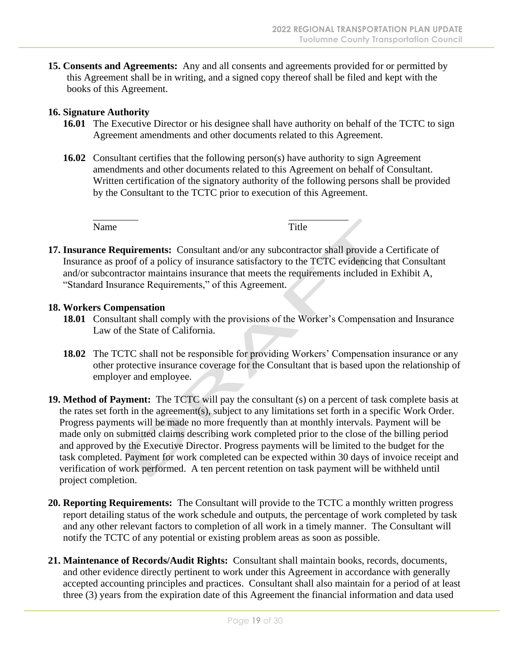**15. Consents and Agreements:** Any and all consents and agreements provided for or permitted by this Agreement shall be in writing, and a signed copy thereof shall be filed and kept with the books of this Agreement.

#### **16. Signature Authority**

- **16.01** The Executive Director or his designee shall have authority on behalf of the TCTC to sign Agreement amendments and other documents related to this Agreement.
- **16.02** Consultant certifies that the following person(s) have authority to sign Agreement amendments and other documents related to this Agreement on behalf of Consultant. Written certification of the signatory authority of the following persons shall be provided by the Consultant to the TCTC prior to execution of this Agreement.

Name Title

**17. Insurance Requirements:** Consultant and/or any subcontractor shall provide a Certificate of Insurance as proof of a policy of insurance satisfactory to the TCTC evidencing that Consultant and/or subcontractor maintains insurance that meets the requirements included in Exhibit A, "Standard Insurance Requirements," of this Agreement.

#### **18. Workers Compensation**

- **18.01** Consultant shall comply with the provisions of the Worker's Compensation and Insurance Law of the State of California.
- **18.02** The TCTC shall not be responsible for providing Workers' Compensation insurance or any other protective insurance coverage for the Consultant that is based upon the relationship of employer and employee.
- **19. Method of Payment:** The TCTC will pay the consultant (s) on a percent of task complete basis at the rates set forth in the agreement(s), subject to any limitations set forth in a specific Work Order. Progress payments will be made no more frequently than at monthly intervals. Payment will be made only on submitted claims describing work completed prior to the close of the billing period and approved by the Executive Director. Progress payments will be limited to the budget for the task completed. Payment for work completed can be expected within 30 days of invoice receipt and verification of work performed. A ten percent retention on task payment will be withheld until project completion.
- **20. Reporting Requirements:** The Consultant will provide to the TCTC a monthly written progress report detailing status of the work schedule and outputs, the percentage of work completed by task and any other relevant factors to completion of all work in a timely manner. The Consultant will notify the TCTC of any potential or existing problem areas as soon as possible.
- **21. Maintenance of Records/Audit Rights:** Consultant shall maintain books, records, documents, and other evidence directly pertinent to work under this Agreement in accordance with generally accepted accounting principles and practices. Consultant shall also maintain for a period of at least three (3) years from the expiration date of this Agreement the financial information and data used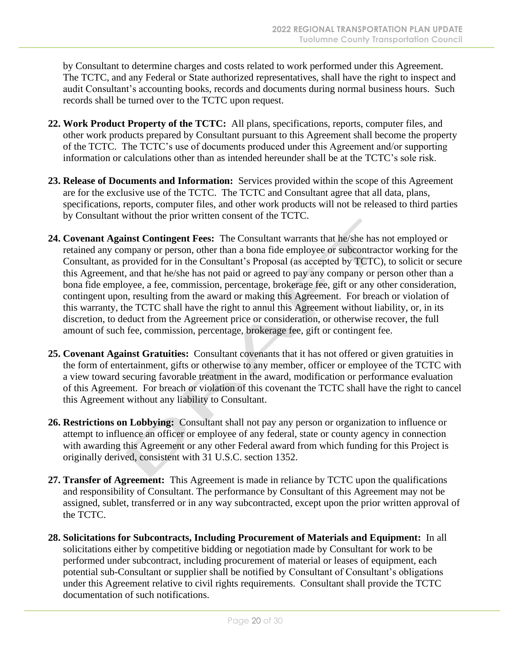by Consultant to determine charges and costs related to work performed under this Agreement. The TCTC, and any Federal or State authorized representatives, shall have the right to inspect and audit Consultant's accounting books, records and documents during normal business hours. Such records shall be turned over to the TCTC upon request.

- **22. Work Product Property of the TCTC:** All plans, specifications, reports, computer files, and other work products prepared by Consultant pursuant to this Agreement shall become the property of the TCTC. The TCTC's use of documents produced under this Agreement and/or supporting information or calculations other than as intended hereunder shall be at the TCTC's sole risk.
- **23. Release of Documents and Information:** Services provided within the scope of this Agreement are for the exclusive use of the TCTC. The TCTC and Consultant agree that all data, plans, specifications, reports, computer files, and other work products will not be released to third parties by Consultant without the prior written consent of the TCTC.
- **24. Covenant Against Contingent Fees:** The Consultant warrants that he/she has not employed or retained any company or person, other than a bona fide employee or subcontractor working for the Consultant, as provided for in the Consultant's Proposal (as accepted by TCTC), to solicit or secure this Agreement, and that he/she has not paid or agreed to pay any company or person other than a bona fide employee, a fee, commission, percentage, brokerage fee, gift or any other consideration, contingent upon, resulting from the award or making this Agreement. For breach or violation of this warranty, the TCTC shall have the right to annul this Agreement without liability, or, in its discretion, to deduct from the Agreement price or consideration, or otherwise recover, the full amount of such fee, commission, percentage, brokerage fee, gift or contingent fee.
- **25. Covenant Against Gratuities:** Consultant covenants that it has not offered or given gratuities in the form of entertainment, gifts or otherwise to any member, officer or employee of the TCTC with a view toward securing favorable treatment in the award, modification or performance evaluation of this Agreement. For breach or violation of this covenant the TCTC shall have the right to cancel this Agreement without any liability to Consultant.
- **26. Restrictions on Lobbying:** Consultant shall not pay any person or organization to influence or attempt to influence an officer or employee of any federal, state or county agency in connection with awarding this Agreement or any other Federal award from which funding for this Project is originally derived, consistent with 31 U.S.C. section 1352.
- **27. Transfer of Agreement:** This Agreement is made in reliance by TCTC upon the qualifications and responsibility of Consultant. The performance by Consultant of this Agreement may not be assigned, sublet, transferred or in any way subcontracted, except upon the prior written approval of the TCTC.
- **28. Solicitations for Subcontracts, Including Procurement of Materials and Equipment:** In all solicitations either by competitive bidding or negotiation made by Consultant for work to be performed under subcontract, including procurement of material or leases of equipment, each potential sub-Consultant or supplier shall be notified by Consultant of Consultant's obligations under this Agreement relative to civil rights requirements. Consultant shall provide the TCTC documentation of such notifications.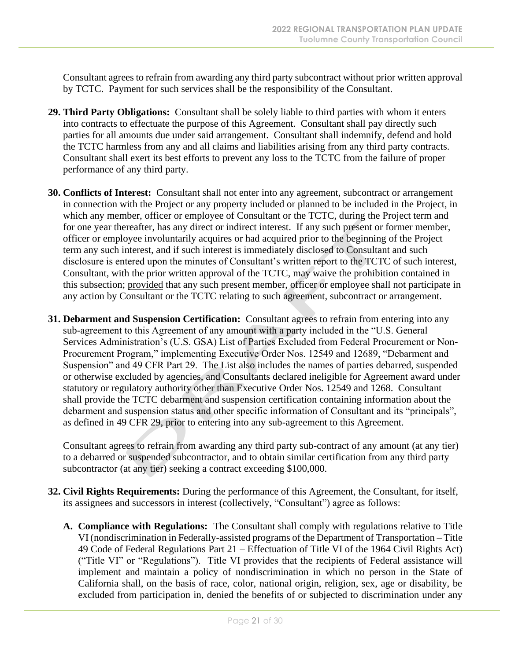Consultant agrees to refrain from awarding any third party subcontract without prior written approval by TCTC. Payment for such services shall be the responsibility of the Consultant.

- **29. Third Party Obligations:** Consultant shall be solely liable to third parties with whom it enters into contracts to effectuate the purpose of this Agreement. Consultant shall pay directly such parties for all amounts due under said arrangement. Consultant shall indemnify, defend and hold the TCTC harmless from any and all claims and liabilities arising from any third party contracts. Consultant shall exert its best efforts to prevent any loss to the TCTC from the failure of proper performance of any third party.
- **30. Conflicts of Interest:** Consultant shall not enter into any agreement, subcontract or arrangement in connection with the Project or any property included or planned to be included in the Project, in which any member, officer or employee of Consultant or the TCTC, during the Project term and for one year thereafter, has any direct or indirect interest. If any such present or former member, officer or employee involuntarily acquires or had acquired prior to the beginning of the Project term any such interest, and if such interest is immediately disclosed to Consultant and such disclosure is entered upon the minutes of Consultant's written report to the TCTC of such interest, Consultant, with the prior written approval of the TCTC, may waive the prohibition contained in this subsection; provided that any such present member, officer or employee shall not participate in any action by Consultant or the TCTC relating to such agreement, subcontract or arrangement.
- **31. Debarment and Suspension Certification:** Consultant agrees to refrain from entering into any sub-agreement to this Agreement of any amount with a party included in the "U.S. General Services Administration's (U.S. GSA) List of Parties Excluded from Federal Procurement or Non-Procurement Program," implementing Executive Order Nos. 12549 and 12689, "Debarment and Suspension" and 49 CFR Part 29. The List also includes the names of parties debarred, suspended or otherwise excluded by agencies, and Consultants declared ineligible for Agreement award under statutory or regulatory authority other than Executive Order Nos. 12549 and 1268. Consultant shall provide the TCTC debarment and suspension certification containing information about the debarment and suspension status and other specific information of Consultant and its "principals", as defined in 49 CFR 29, prior to entering into any sub-agreement to this Agreement.

Consultant agrees to refrain from awarding any third party sub-contract of any amount (at any tier) to a debarred or suspended subcontractor, and to obtain similar certification from any third party subcontractor (at any tier) seeking a contract exceeding \$100,000.

- **32. Civil Rights Requirements:** During the performance of this Agreement, the Consultant, for itself, its assignees and successors in interest (collectively, "Consultant") agree as follows:
	- **A. Compliance with Regulations:** The Consultant shall comply with regulations relative to Title VI (nondiscrimination in Federally-assisted programs of the Department of Transportation – Title 49 Code of Federal Regulations Part 21 – Effectuation of Title VI of the 1964 Civil Rights Act) ("Title VI" or "Regulations"). Title VI provides that the recipients of Federal assistance will implement and maintain a policy of nondiscrimination in which no person in the State of California shall, on the basis of race, color, national origin, religion, sex, age or disability, be excluded from participation in, denied the benefits of or subjected to discrimination under any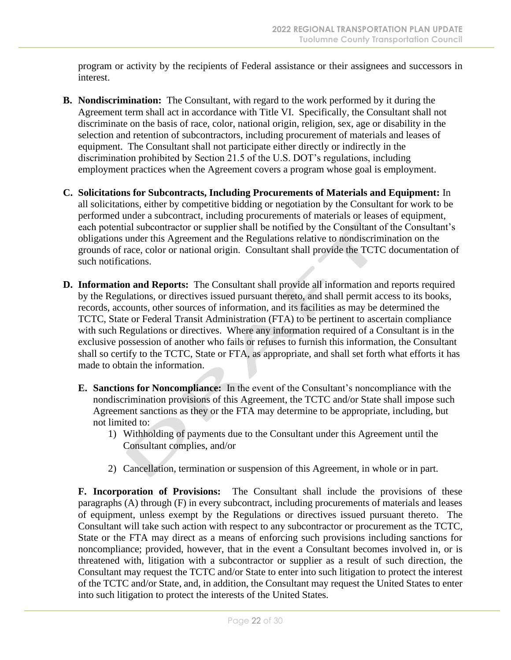program or activity by the recipients of Federal assistance or their assignees and successors in interest.

- **B. Nondiscrimination:** The Consultant, with regard to the work performed by it during the Agreement term shall act in accordance with Title VI. Specifically, the Consultant shall not discriminate on the basis of race, color, national origin, religion, sex, age or disability in the selection and retention of subcontractors, including procurement of materials and leases of equipment. The Consultant shall not participate either directly or indirectly in the discrimination prohibited by Section 21.5 of the U.S. DOT's regulations, including employment practices when the Agreement covers a program whose goal is employment.
- **C. Solicitations for Subcontracts, Including Procurements of Materials and Equipment:** In all solicitations, either by competitive bidding or negotiation by the Consultant for work to be performed under a subcontract, including procurements of materials or leases of equipment, each potential subcontractor or supplier shall be notified by the Consultant of the Consultant's obligations under this Agreement and the Regulations relative to nondiscrimination on the grounds of race, color or national origin. Consultant shall provide the TCTC documentation of such notifications.
- **D. Information and Reports:** The Consultant shall provide all information and reports required by the Regulations, or directives issued pursuant thereto, and shall permit access to its books, records, accounts, other sources of information, and its facilities as may be determined the TCTC, State or Federal Transit Administration (FTA) to be pertinent to ascertain compliance with such Regulations or directives. Where any information required of a Consultant is in the exclusive possession of another who fails or refuses to furnish this information, the Consultant shall so certify to the TCTC, State or FTA, as appropriate, and shall set forth what efforts it has made to obtain the information.
	- **E. Sanctions for Noncompliance:** In the event of the Consultant's noncompliance with the nondiscrimination provisions of this Agreement, the TCTC and/or State shall impose such Agreement sanctions as they or the FTA may determine to be appropriate, including, but not limited to:
		- 1) Withholding of payments due to the Consultant under this Agreement until the Consultant complies, and/or
		- 2) Cancellation, termination or suspension of this Agreement, in whole or in part.

**F. Incorporation of Provisions:** The Consultant shall include the provisions of these paragraphs (A) through (F) in every subcontract, including procurements of materials and leases of equipment, unless exempt by the Regulations or directives issued pursuant thereto. The Consultant will take such action with respect to any subcontractor or procurement as the TCTC, State or the FTA may direct as a means of enforcing such provisions including sanctions for noncompliance; provided, however, that in the event a Consultant becomes involved in, or is threatened with, litigation with a subcontractor or supplier as a result of such direction, the Consultant may request the TCTC and/or State to enter into such litigation to protect the interest of the TCTC and/or State, and, in addition, the Consultant may request the United States to enter into such litigation to protect the interests of the United States.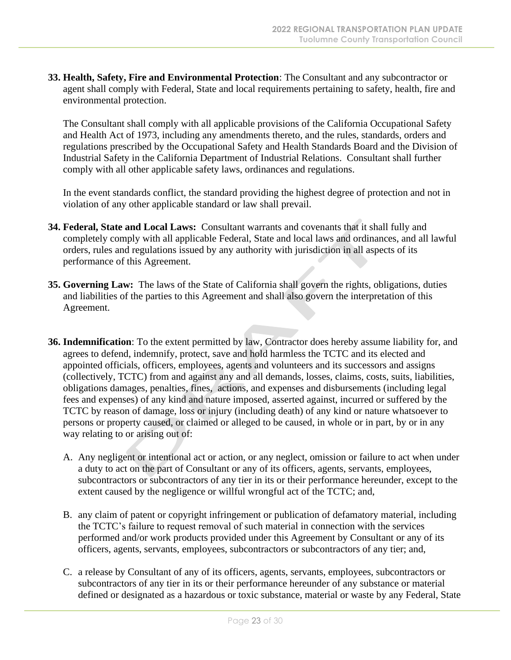**33. Health, Safety, Fire and Environmental Protection**: The Consultant and any subcontractor or agent shall comply with Federal, State and local requirements pertaining to safety, health, fire and environmental protection.

The Consultant shall comply with all applicable provisions of the California Occupational Safety and Health Act of 1973, including any amendments thereto, and the rules, standards, orders and regulations prescribed by the Occupational Safety and Health Standards Board and the Division of Industrial Safety in the California Department of Industrial Relations. Consultant shall further comply with all other applicable safety laws, ordinances and regulations.

In the event standards conflict, the standard providing the highest degree of protection and not in violation of any other applicable standard or law shall prevail.

- **34. Federal, State and Local Laws:** Consultant warrants and covenants that it shall fully and completely comply with all applicable Federal, State and local laws and ordinances, and all lawful orders, rules and regulations issued by any authority with jurisdiction in all aspects of its performance of this Agreement.
- **35. Governing Law:** The laws of the State of California shall govern the rights, obligations, duties and liabilities of the parties to this Agreement and shall also govern the interpretation of this Agreement.
- **36. Indemnification**: To the extent permitted by law, Contractor does hereby assume liability for, and agrees to defend, indemnify, protect, save and hold harmless the TCTC and its elected and appointed officials, officers, employees, agents and volunteers and its successors and assigns (collectively, TCTC) from and against any and all demands, losses, claims, costs, suits, liabilities, obligations damages, penalties, fines, actions, and expenses and disbursements (including legal fees and expenses) of any kind and nature imposed, asserted against, incurred or suffered by the TCTC by reason of damage, loss or injury (including death) of any kind or nature whatsoever to persons or property caused, or claimed or alleged to be caused, in whole or in part, by or in any way relating to or arising out of:
	- A. Any negligent or intentional act or action, or any neglect, omission or failure to act when under a duty to act on the part of Consultant or any of its officers, agents, servants, employees, subcontractors or subcontractors of any tier in its or their performance hereunder, except to the extent caused by the negligence or willful wrongful act of the TCTC; and,
	- B. any claim of patent or copyright infringement or publication of defamatory material, including the TCTC's failure to request removal of such material in connection with the services performed and/or work products provided under this Agreement by Consultant or any of its officers, agents, servants, employees, subcontractors or subcontractors of any tier; and,
	- C. a release by Consultant of any of its officers, agents, servants, employees, subcontractors or subcontractors of any tier in its or their performance hereunder of any substance or material defined or designated as a hazardous or toxic substance, material or waste by any Federal, State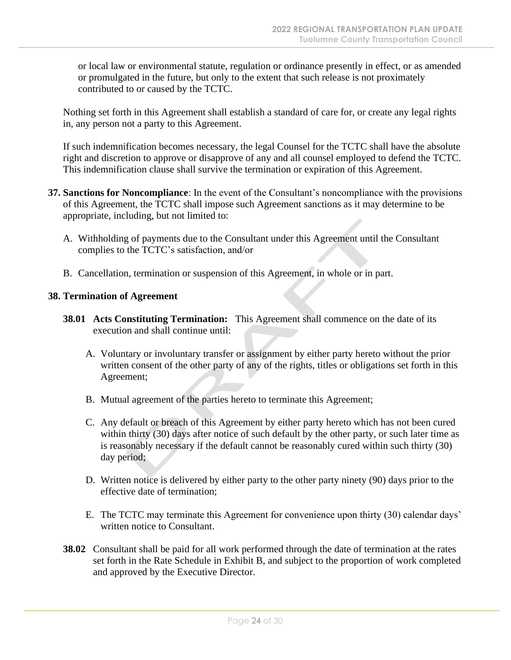or local law or environmental statute, regulation or ordinance presently in effect, or as amended or promulgated in the future, but only to the extent that such release is not proximately contributed to or caused by the TCTC.

Nothing set forth in this Agreement shall establish a standard of care for, or create any legal rights in, any person not a party to this Agreement.

If such indemnification becomes necessary, the legal Counsel for the TCTC shall have the absolute right and discretion to approve or disapprove of any and all counsel employed to defend the TCTC. This indemnification clause shall survive the termination or expiration of this Agreement.

- **37. Sanctions for Noncompliance**: In the event of the Consultant's noncompliance with the provisions of this Agreement, the TCTC shall impose such Agreement sanctions as it may determine to be appropriate, including, but not limited to:
	- A. Withholding of payments due to the Consultant under this Agreement until the Consultant complies to the TCTC's satisfaction, and/or
	- B. Cancellation, termination or suspension of this Agreement, in whole or in part.

#### **38. Termination of Agreement**

- **38.01 Acts Constituting Termination:** This Agreement shall commence on the date of its execution and shall continue until:
	- A. Voluntary or involuntary transfer or assignment by either party hereto without the prior written consent of the other party of any of the rights, titles or obligations set forth in this Agreement;
	- B. Mutual agreement of the parties hereto to terminate this Agreement;
	- C. Any default or breach of this Agreement by either party hereto which has not been cured within thirty (30) days after notice of such default by the other party, or such later time as is reasonably necessary if the default cannot be reasonably cured within such thirty (30) day period;
	- D. Written notice is delivered by either party to the other party ninety (90) days prior to the effective date of termination;
	- E. The TCTC may terminate this Agreement for convenience upon thirty (30) calendar days' written notice to Consultant.
- **38.02** Consultant shall be paid for all work performed through the date of termination at the rates set forth in the Rate Schedule in Exhibit B, and subject to the proportion of work completed and approved by the Executive Director.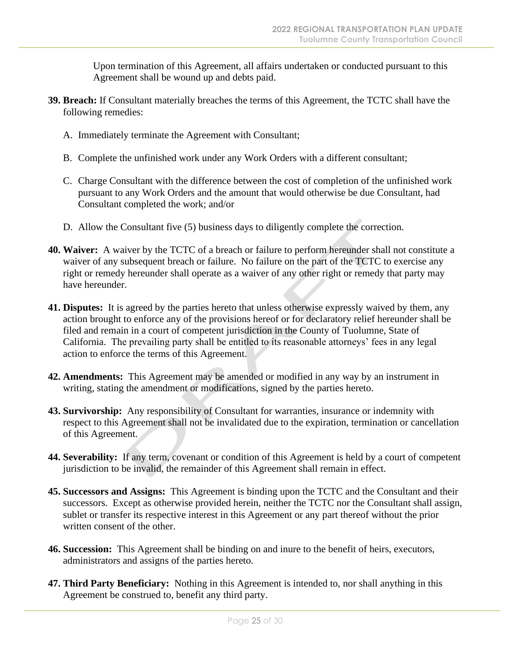Upon termination of this Agreement, all affairs undertaken or conducted pursuant to this Agreement shall be wound up and debts paid.

- **39. Breach:** If Consultant materially breaches the terms of this Agreement, the TCTC shall have the following remedies:
	- A. Immediately terminate the Agreement with Consultant;
	- B. Complete the unfinished work under any Work Orders with a different consultant;
	- C. Charge Consultant with the difference between the cost of completion of the unfinished work pursuant to any Work Orders and the amount that would otherwise be due Consultant, had Consultant completed the work; and/or
	- D. Allow the Consultant five (5) business days to diligently complete the correction.
- **40. Waiver:** A waiver by the TCTC of a breach or failure to perform hereunder shall not constitute a waiver of any subsequent breach or failure. No failure on the part of the TCTC to exercise any right or remedy hereunder shall operate as a waiver of any other right or remedy that party may have hereunder.
- **41. Disputes:** It is agreed by the parties hereto that unless otherwise expressly waived by them, any action brought to enforce any of the provisions hereof or for declaratory relief hereunder shall be filed and remain in a court of competent jurisdiction in the County of Tuolumne, State of California. The prevailing party shall be entitled to its reasonable attorneys' fees in any legal action to enforce the terms of this Agreement.
- **42. Amendments:** This Agreement may be amended or modified in any way by an instrument in writing, stating the amendment or modifications, signed by the parties hereto.
- **43. Survivorship:** Any responsibility of Consultant for warranties, insurance or indemnity with respect to this Agreement shall not be invalidated due to the expiration, termination or cancellation of this Agreement.
- **44. Severability:** If any term, covenant or condition of this Agreement is held by a court of competent jurisdiction to be invalid, the remainder of this Agreement shall remain in effect.
- **45. Successors and Assigns:** This Agreement is binding upon the TCTC and the Consultant and their successors. Except as otherwise provided herein, neither the TCTC nor the Consultant shall assign, sublet or transfer its respective interest in this Agreement or any part thereof without the prior written consent of the other.
- **46. Succession:** This Agreement shall be binding on and inure to the benefit of heirs, executors, administrators and assigns of the parties hereto.
- **47. Third Party Beneficiary:** Nothing in this Agreement is intended to, nor shall anything in this Agreement be construed to, benefit any third party.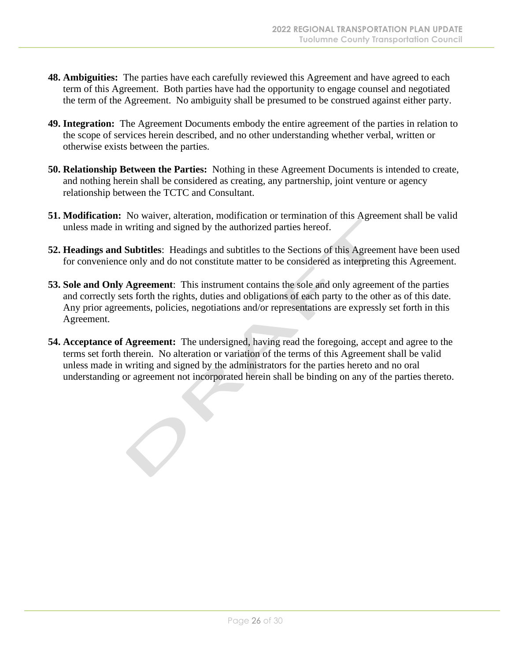- **48. Ambiguities:** The parties have each carefully reviewed this Agreement and have agreed to each term of this Agreement. Both parties have had the opportunity to engage counsel and negotiated the term of the Agreement. No ambiguity shall be presumed to be construed against either party.
- **49. Integration:** The Agreement Documents embody the entire agreement of the parties in relation to the scope of services herein described, and no other understanding whether verbal, written or otherwise exists between the parties.
- **50. Relationship Between the Parties:** Nothing in these Agreement Documents is intended to create, and nothing herein shall be considered as creating, any partnership, joint venture or agency relationship between the TCTC and Consultant.
- **51. Modification:** No waiver, alteration, modification or termination of this Agreement shall be valid unless made in writing and signed by the authorized parties hereof.
- **52. Headings and Subtitles**: Headings and subtitles to the Sections of this Agreement have been used for convenience only and do not constitute matter to be considered as interpreting this Agreement.
- **53. Sole and Only Agreement**: This instrument contains the sole and only agreement of the parties and correctly sets forth the rights, duties and obligations of each party to the other as of this date. Any prior agreements, policies, negotiations and/or representations are expressly set forth in this Agreement.
- **54. Acceptance of Agreement:** The undersigned, having read the foregoing, accept and agree to the terms set forth therein. No alteration or variation of the terms of this Agreement shall be valid unless made in writing and signed by the administrators for the parties hereto and no oral understanding or agreement not incorporated herein shall be binding on any of the parties thereto.

 $\bigcirc$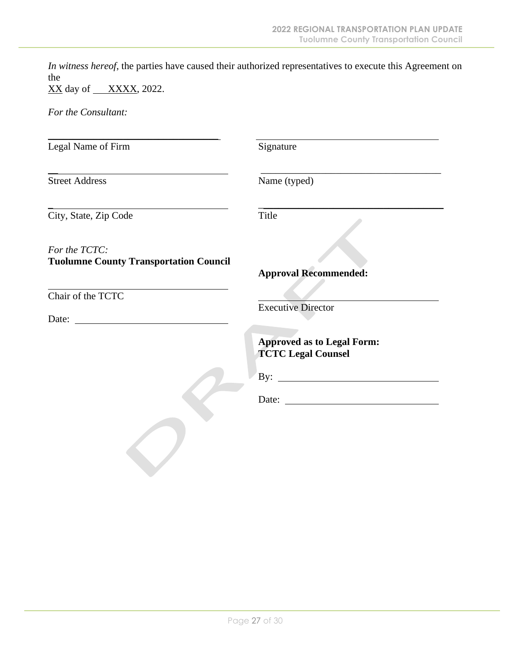*In witness hereof*, the parties have caused their authorized representatives to execute this Agreement on the

XX day of <u>XXXX</u>, 2022.

*For the Consultant:*

| Legal Name of Firm                                             | Signature                                                                             |
|----------------------------------------------------------------|---------------------------------------------------------------------------------------|
| <b>Street Address</b>                                          | Name (typed)                                                                          |
| City, State, Zip Code                                          | Title                                                                                 |
| For the TCTC:<br><b>Tuolumne County Transportation Council</b> | <b>Approval Recommended:</b>                                                          |
| Chair of the TCTC                                              | <b>Executive Director</b>                                                             |
|                                                                | <b>Approved as to Legal Form:</b><br><b>TCTC Legal Counsel</b><br>By: $\qquad \qquad$ |
|                                                                |                                                                                       |
|                                                                |                                                                                       |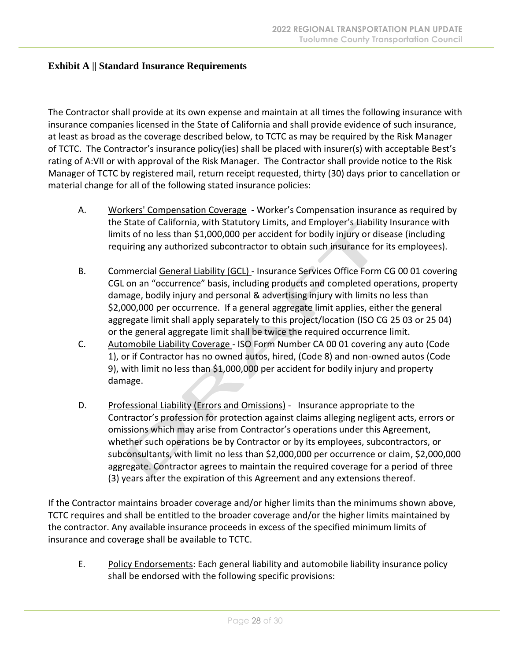#### **Exhibit A || Standard Insurance Requirements**

The Contractor shall provide at its own expense and maintain at all times the following insurance with insurance companies licensed in the State of California and shall provide evidence of such insurance, at least as broad as the coverage described below, to TCTC as may be required by the Risk Manager of TCTC. The Contractor's insurance policy(ies) shall be placed with insurer(s) with acceptable Best's rating of A:VII or with approval of the Risk Manager. The Contractor shall provide notice to the Risk Manager of TCTC by registered mail, return receipt requested, thirty (30) days prior to cancellation or material change for all of the following stated insurance policies:

- A. Workers' Compensation Coverage Worker's Compensation insurance as required by the State of California, with Statutory Limits, and Employer's Liability Insurance with limits of no less than \$1,000,000 per accident for bodily injury or disease (including requiring any authorized subcontractor to obtain such insurance for its employees).
- B. Commercial General Liability (GCL) Insurance Services Office Form CG 00 01 covering CGL on an "occurrence" basis, including products and completed operations, property damage, bodily injury and personal & advertising injury with limits no less than \$2,000,000 per occurrence. If a general aggregate limit applies, either the general aggregate limit shall apply separately to this project/location (ISO CG 25 03 or 25 04) or the general aggregate limit shall be twice the required occurrence limit.
- C. Automobile Liability Coverage ISO Form Number CA 00 01 covering any auto (Code 1), or if Contractor has no owned autos, hired, (Code 8) and non-owned autos (Code 9), with limit no less than \$1,000,000 per accident for bodily injury and property damage.
- D. Professional Liability (Errors and Omissions) Insurance appropriate to the Contractor's profession for protection against claims alleging negligent acts, errors or omissions which may arise from Contractor's operations under this Agreement, whether such operations be by Contractor or by its employees, subcontractors, or subconsultants, with limit no less than \$2,000,000 per occurrence or claim, \$2,000,000 aggregate. Contractor agrees to maintain the required coverage for a period of three (3) years after the expiration of this Agreement and any extensions thereof.

If the Contractor maintains broader coverage and/or higher limits than the minimums shown above, TCTC requires and shall be entitled to the broader coverage and/or the higher limits maintained by the contractor. Any available insurance proceeds in excess of the specified minimum limits of insurance and coverage shall be available to TCTC.

E. Policy Endorsements: Each general liability and automobile liability insurance policy shall be endorsed with the following specific provisions: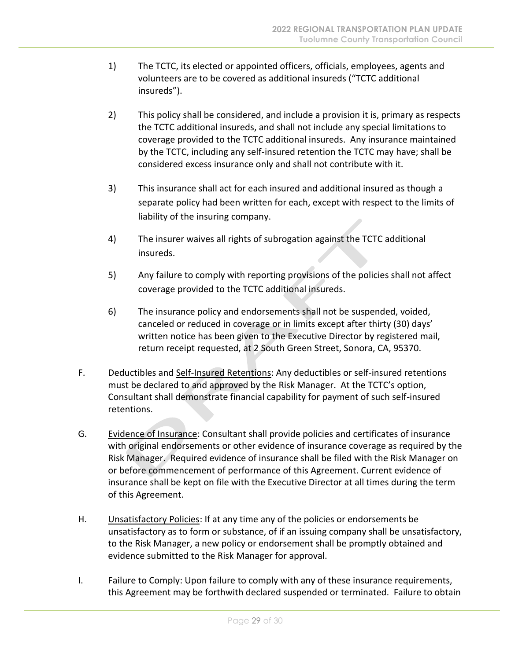- 1) The TCTC, its elected or appointed officers, officials, employees, agents and volunteers are to be covered as additional insureds ("TCTC additional insureds").
- 2) This policy shall be considered, and include a provision it is, primary as respects the TCTC additional insureds, and shall not include any special limitations to coverage provided to the TCTC additional insureds. Any insurance maintained by the TCTC, including any self-insured retention the TCTC may have; shall be considered excess insurance only and shall not contribute with it.
- 3) This insurance shall act for each insured and additional insured as though a separate policy had been written for each, except with respect to the limits of liability of the insuring company.
- 4) The insurer waives all rights of subrogation against the TCTC additional insureds.
- 5) Any failure to comply with reporting provisions of the policies shall not affect coverage provided to the TCTC additional insureds.
- 6) The insurance policy and endorsements shall not be suspended, voided, canceled or reduced in coverage or in limits except after thirty (30) days' written notice has been given to the Executive Director by registered mail, return receipt requested, at 2 South Green Street, Sonora, CA, 95370.
- F. Deductibles and Self-Insured Retentions: Any deductibles or self-insured retentions must be declared to and approved by the Risk Manager. At the TCTC's option, Consultant shall demonstrate financial capability for payment of such self-insured retentions.
- G. Evidence of Insurance: Consultant shall provide policies and certificates of insurance with original endorsements or other evidence of insurance coverage as required by the Risk Manager. Required evidence of insurance shall be filed with the Risk Manager on or before commencement of performance of this Agreement. Current evidence of insurance shall be kept on file with the Executive Director at all times during the term of this Agreement.
- H. Unsatisfactory Policies: If at any time any of the policies or endorsements be unsatisfactory as to form or substance, of if an issuing company shall be unsatisfactory, to the Risk Manager, a new policy or endorsement shall be promptly obtained and evidence submitted to the Risk Manager for approval.
- I. Failure to Comply: Upon failure to comply with any of these insurance requirements, this Agreement may be forthwith declared suspended or terminated. Failure to obtain